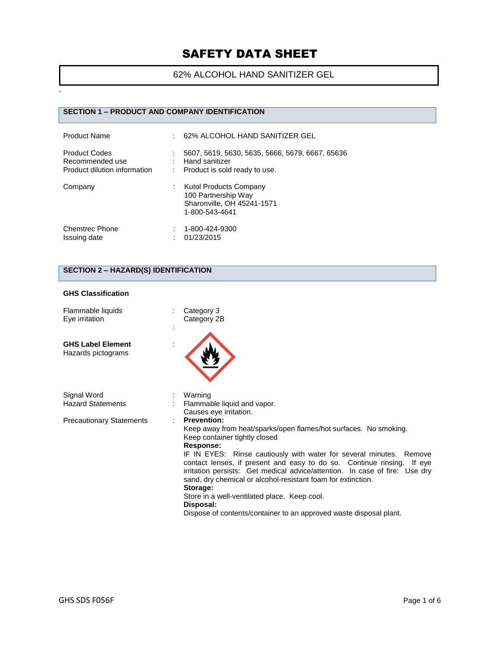62% ALCOHOL HAND SANITIZER GEL

## **SECTION 1 – PRODUCT AND COMPANY IDENTIFICATION**

| <b>Product Name</b>                                                     | 62% ALCOHOL HAND SANITIZER GEL                                                                       |
|-------------------------------------------------------------------------|------------------------------------------------------------------------------------------------------|
| <b>Product Codes</b><br>Recommended use<br>Product dilution information | 5607, 5619, 5630, 5635, 5666, 5679, 6667, 65636<br>Hand sanitizer<br>: Product is sold ready to use. |
| Company                                                                 | Kutol Products Company<br>100 Partnership Way<br>Sharonville, OH 45241-1571<br>1-800-543-4641        |
| <b>Chemtrec Phone</b><br>Issuing date                                   | 1-800-424-9300<br>01/23/2015                                                                         |

## **SECTION 2 – HAZARD(S) IDENTIFICATION**

#### **GHS Classification**

`

| Flammable liquids<br>Eye irritation            | Category 3<br>Category 2B                                                                                                                                                                                                                                                                                                                                                                                                                                                                                                                                                                  |
|------------------------------------------------|--------------------------------------------------------------------------------------------------------------------------------------------------------------------------------------------------------------------------------------------------------------------------------------------------------------------------------------------------------------------------------------------------------------------------------------------------------------------------------------------------------------------------------------------------------------------------------------------|
| <b>GHS Label Element</b><br>Hazards pictograms |                                                                                                                                                                                                                                                                                                                                                                                                                                                                                                                                                                                            |
| Signal Word<br><b>Hazard Statements</b>        | Warning<br>Flammable liquid and vapor.<br>Causes eye irritation.                                                                                                                                                                                                                                                                                                                                                                                                                                                                                                                           |
| <b>Precautionary Statements</b>                | <b>Prevention:</b><br>Keep away from heat/sparks/open flames/hot surfaces. No smoking.<br>Keep container tightly closed<br><b>Response:</b><br>IF IN EYES: Rinse cautiously with water for several minutes. Remove<br>contact lenses, if present and easy to do so. Continue rinsing. If eye<br>irritation persists: Get medical advice/attention. In case of fire: Use dry<br>sand, dry chemical or alcohol-resistant foam for extinction.<br>Storage:<br>Store in a well-ventilated place. Keep cool.<br>Disposal:<br>Dispose of contents/container to an approved waste disposal plant. |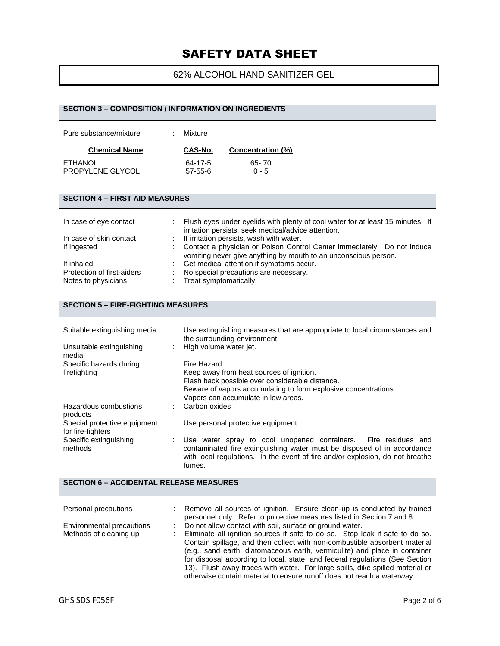## 62% ALCOHOL HAND SANITIZER GEL

# **SECTION 3 – COMPOSITION / INFORMATION ON INGREDIENTS** Pure substance/mixture : Mixture **Chemical Name CAS-No. Concentration (%)** ETHANOL 64-17-5 65- 70<br>PROPYLENE GLYCOL 57-55-6 0 - 5 PROPYLENE GLYCOL **SECTION 4 – FIRST AID MEASURES** In case of eye contact : Flush eyes under eyelids with plenty of cool water for at least 15 minutes. If irritation persists, seek medical/advice attention. In case of skin contact : If irritation persists, wash with water.<br>If ingested : Contact a physician or Poison Conti : Contact a physician or Poison Control Center immediately. Do not induce vomiting never give anything by mouth to an unconscious person. If inhaled  $\therefore$  Get medical attention if symptoms occur.<br>Protection of first-aiders  $\therefore$  No special precautions are necessary. Protection of first-aiders : No special precautions are necessary.<br>
Notes to physicians : Treat symptomatically. : Treat symptomatically.

### **SECTION 5 – FIRE-FIGHTING MEASURES**

| Suitable extinguishing media                      | Use extinguishing measures that are appropriate to local circumstances and<br>the surrounding environment.                                                                                                                 |
|---------------------------------------------------|----------------------------------------------------------------------------------------------------------------------------------------------------------------------------------------------------------------------------|
| Unsuitable extinguishing<br>media                 | High volume water jet.                                                                                                                                                                                                     |
| Specific hazards during<br>firefighting           | Fire Hazard.<br>Keep away from heat sources of ignition.<br>Flash back possible over considerable distance.<br>Beware of vapors accumulating to form explosive concentrations.<br>Vapors can accumulate in low areas.      |
| Hazardous combustions<br>products                 | Carbon oxides                                                                                                                                                                                                              |
| Special protective equipment<br>for fire-fighters | Use personal protective equipment.                                                                                                                                                                                         |
| Specific extinguishing<br>methods                 | Use water spray to cool unopened containers. Fire residues and<br>contaminated fire extinguishing water must be disposed of in accordance<br>with local regulations. In the event of fire and/or explosion, do not breathe |

#### **SECTION 6 – ACCIDENTAL RELEASE MEASURES**

fumes.

| Personal precautions      | Remove all sources of ignition. Ensure clean-up is conducted by trained       |
|---------------------------|-------------------------------------------------------------------------------|
|                           | personnel only. Refer to protective measures listed in Section 7 and 8.       |
| Environmental precautions | Do not allow contact with soil, surface or ground water.                      |
| Methods of cleaning up    | Eliminate all ignition sources if safe to do so. Stop leak if safe to do so.  |
|                           | Contain spillage, and then collect with non-combustible absorbent material    |
|                           | (e.g., sand earth, diatomaceous earth, vermiculite) and place in container    |
|                           | for disposal according to local, state, and federal regulations (See Section  |
|                           | 13). Flush away traces with water. For large spills, dike spilled material or |
|                           | otherwise contain material to ensure runoff does not reach a waterway.        |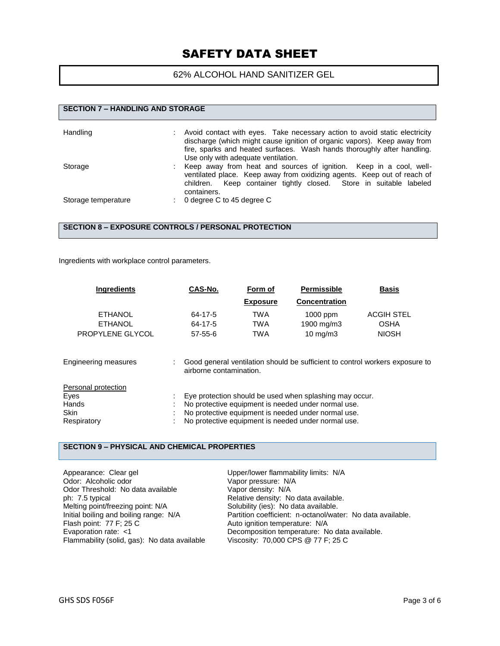### 62% ALCOHOL HAND SANITIZER GEL

| <b>SECTION 7 - HANDLING AND STORAGE</b> |                                                                                                                                                                                                                                                                          |  |  |
|-----------------------------------------|--------------------------------------------------------------------------------------------------------------------------------------------------------------------------------------------------------------------------------------------------------------------------|--|--|
| Handling                                | Avoid contact with eyes. Take necessary action to avoid static electricity<br>discharge (which might cause ignition of organic vapors). Keep away from<br>fire, sparks and heated surfaces. Wash hands thoroughly after handling.<br>Use only with adequate ventilation. |  |  |
| Storage                                 | Keep away from heat and sources of ignition. Keep in a cool, well-<br>ventilated place. Keep away from oxidizing agents. Keep out of reach of<br>children. Keep container tightly closed. Store in suitable labeled<br>containers.                                       |  |  |
| Storage temperature                     | 0 degree C to 45 degree C                                                                                                                                                                                                                                                |  |  |

#### **SECTION 8 – EXPOSURE CONTROLS / PERSONAL PROTECTION**

Ingredients with workplace control parameters.

| <b>Ingredients</b>          | CAS-No.                 | Form of         | <b>Permissible</b>                                      | <b>Basis</b>                                                                 |
|-----------------------------|-------------------------|-----------------|---------------------------------------------------------|------------------------------------------------------------------------------|
|                             |                         | <b>Exposure</b> | <b>Concentration</b>                                    |                                                                              |
| <b>ETHANOL</b>              | 64-17-5                 | TWA             | 1000 ppm                                                | <b>ACGIH STEL</b>                                                            |
| <b>ETHANOL</b>              | 64-17-5                 | <b>TWA</b>      | 1900 mg/m3                                              | <b>OSHA</b>                                                                  |
| PROPYLENE GLYCOL            | $57 - 55 - 6$           | <b>TWA</b>      | $10 \text{ mg/m}$                                       | <b>NIOSH</b>                                                                 |
| <b>Engineering measures</b> | airborne contamination. |                 |                                                         | Good general ventilation should be sufficient to control workers exposure to |
| Personal protection         |                         |                 |                                                         |                                                                              |
| Eyes                        |                         |                 | Eye protection should be used when splashing may occur. |                                                                              |
| Hands                       |                         |                 | No protective equipment is needed under normal use.     |                                                                              |
| <b>Skin</b>                 |                         |                 | No protective equipment is needed under normal use.     |                                                                              |
| Respiratory                 |                         |                 | No protective equipment is needed under normal use.     |                                                                              |

#### **SECTION 9 – PHYSICAL AND CHEMICAL PROPERTIES**

Appearance: Clear gel  $\begin{array}{ccc}\n\text{Upper/lower flamhability limits: N/A} \\
\text{Odor: Alcoholic odor} & \text{Vapor pressure: N/A}\n\end{array}$ Vapor pressure: N/A<br>Vapor density: N/A Odor Threshold: No data available<br>ph: 7.5 typical ph: 7.5 typical Relative density: No data available.<br>
Melting point/freezing point: N/A Solubility (ies): No data available. Solubility (ies): No data available. Initial boiling and boiling range: N/A Partition coefficient: n-octanol/water: No data available.<br>Flash point: 77 F; 25 C Auto ignition temperature: N/A Auto ignition temperature: N/A Evaporation rate: <1 Decomposition temperature: No data available.<br>Flammability (solid, gas): No data available Viscosity: 70,000 CPS @ 77 F; 25 C Flammability (solid, gas): No data available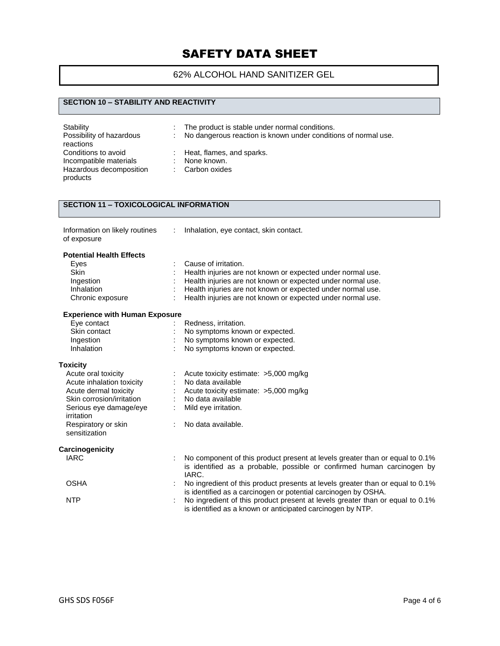## 62% ALCOHOL HAND SANITIZER GEL

### **SECTION 10 – STABILITY AND REACTIVITY**

| Stability<br>Possibility of hazardous<br>reactions | ÷. | The product is stable under normal conditions.<br>No dangerous reaction is known under conditions of normal use. |
|----------------------------------------------------|----|------------------------------------------------------------------------------------------------------------------|
| Conditions to avoid                                |    | $\therefore$ Heat, flames, and sparks.                                                                           |
| Incompatible materials                             |    | None known.                                                                                                      |
| Hazardous decomposition<br>products                |    | : Carbon oxides                                                                                                  |

## **SECTION 11 – TOXICOLOGICAL INFORMATION**

| Information on likely routines | Ir |
|--------------------------------|----|
| of exposure                    |    |

: Inhalation, eye contact, skin contact.

#### **Potential Health Effects**

| Eyes                                  | Cause of irritation.                                                                                                                        |
|---------------------------------------|---------------------------------------------------------------------------------------------------------------------------------------------|
| <b>Skin</b>                           | Health injuries are not known or expected under normal use.                                                                                 |
| Ingestion                             | Health injuries are not known or expected under normal use.                                                                                 |
| Inhalation                            | Health injuries are not known or expected under normal use.                                                                                 |
| Chronic exposure                      | Health injuries are not known or expected under normal use.                                                                                 |
| <b>Experience with Human Exposure</b> |                                                                                                                                             |
| Eye contact                           | Redness, irritation.                                                                                                                        |
| Skin contact                          | No symptoms known or expected.                                                                                                              |
| Ingestion                             | No symptoms known or expected.                                                                                                              |
| Inhalation                            | No symptoms known or expected.                                                                                                              |
| <b>Toxicity</b>                       |                                                                                                                                             |
| Acute oral toxicity                   | Acute toxicity estimate: >5,000 mg/kg                                                                                                       |
| Acute inhalation toxicity             | No data available                                                                                                                           |
| Acute dermal toxicity                 | Acute toxicity estimate: >5,000 mg/kg                                                                                                       |
| Skin corrosion/irritation             | No data available                                                                                                                           |
| Serious eye damage/eye<br>irritation  | Mild eye irritation.                                                                                                                        |
| Respiratory or skin<br>sensitization  | No data available.                                                                                                                          |
| Carcinogenicity                       |                                                                                                                                             |
| <b>IARC</b>                           | No component of this product present at levels greater than or equal to 0.1%                                                                |
|                                       | is identified as a probable, possible or confirmed human carcinogen by<br>IARC.                                                             |
| <b>OSHA</b>                           | No ingredient of this product presents at levels greater than or equal to 0.1%                                                              |
|                                       | is identified as a carcinogen or potential carcinogen by OSHA.                                                                              |
| <b>NTP</b>                            | No ingredient of this product present at levels greater than or equal to 0.1%<br>is identified as a known or anticipated carcinogen by NTP. |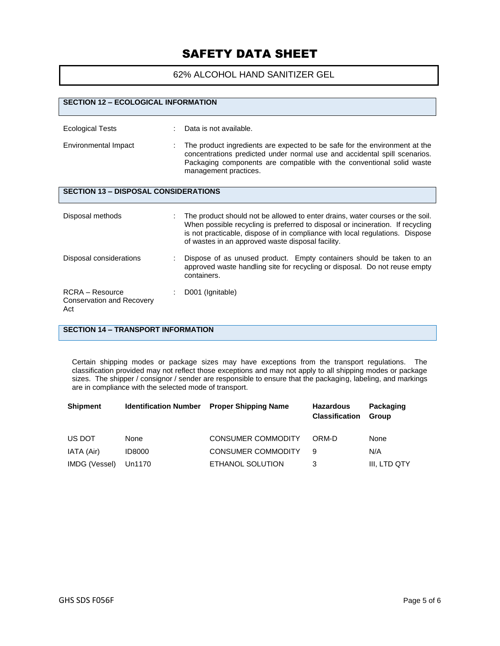62% ALCOHOL HAND SANITIZER GEL

| <b>SECTION 12 - ECOLOGICAL INFORMATION</b>                   |                                                                                                                                                                                                                                                                                                      |
|--------------------------------------------------------------|------------------------------------------------------------------------------------------------------------------------------------------------------------------------------------------------------------------------------------------------------------------------------------------------------|
| <b>Ecological Tests</b>                                      | Data is not available.                                                                                                                                                                                                                                                                               |
| Environmental Impact                                         | The product ingredients are expected to be safe for the environment at the<br>concentrations predicted under normal use and accidental spill scenarios.<br>Packaging components are compatible with the conventional solid waste<br>management practices.                                            |
| <b>SECTION 13 - DISPOSAL CONSIDERATIONS</b>                  |                                                                                                                                                                                                                                                                                                      |
| Disposal methods                                             | The product should not be allowed to enter drains, water courses or the soil.<br>When possible recycling is preferred to disposal or incineration. If recycling<br>is not practicable, dispose of in compliance with local regulations. Dispose<br>of wastes in an approved waste disposal facility. |
| Disposal considerations                                      | Dispose of as unused product. Empty containers should be taken to an<br>approved waste handling site for recycling or disposal. Do not reuse empty<br>containers.                                                                                                                                    |
| $RCRA - Resource$<br><b>Conservation and Recovery</b><br>Act | D001 (Ignitable)                                                                                                                                                                                                                                                                                     |

## **SECTION 14 – TRANSPORT INFORMATION**

Certain shipping modes or package sizes may have exceptions from the transport regulations. The classification provided may not reflect those exceptions and may not apply to all shipping modes or package sizes. The shipper / consignor / sender are responsible to ensure that the packaging, labeling, and markings are in compliance with the selected mode of transport.

| <b>Shipment</b> | <b>Identification Number</b> | <b>Proper Shipping Name</b> | <b>Hazardous</b><br><b>Classification</b> | Packaging<br><b>Group</b> |
|-----------------|------------------------------|-----------------------------|-------------------------------------------|---------------------------|
| US DOT          | None                         | <b>CONSUMER COMMODITY</b>   | ORM-D                                     | None                      |
| IATA (Air)      | <b>ID8000</b>                | <b>CONSUMER COMMODITY</b>   | 9                                         | N/A                       |
| IMDG (Vessel)   | Un1170                       | ETHANOL SOLUTION            | 3                                         | III. LTD QTY              |